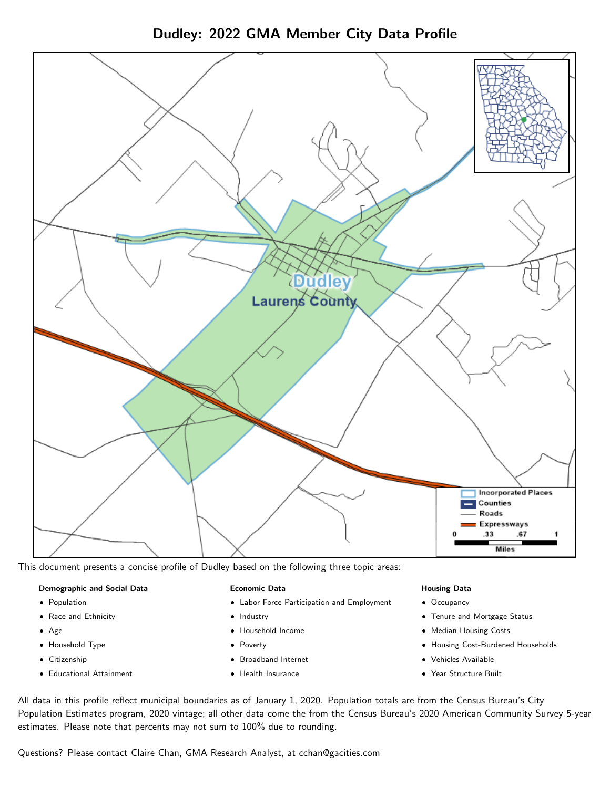Dudley: 2022 GMA Member City Data Profile



This document presents a concise profile of Dudley based on the following three topic areas:

#### Demographic and Social Data

- **•** Population
- Race and Ethnicity
- Age
- Household Type
- **Citizenship**
- Educational Attainment

#### Economic Data

- Labor Force Participation and Employment
- Industry
- Household Income
- Poverty
- Broadband Internet
- Health Insurance

#### Housing Data

- Occupancy
- Tenure and Mortgage Status
- Median Housing Costs
- Housing Cost-Burdened Households
- Vehicles Available
- Year Structure Built

All data in this profile reflect municipal boundaries as of January 1, 2020. Population totals are from the Census Bureau's City Population Estimates program, 2020 vintage; all other data come the from the Census Bureau's 2020 American Community Survey 5-year estimates. Please note that percents may not sum to 100% due to rounding.

Questions? Please contact Claire Chan, GMA Research Analyst, at [cchan@gacities.com.](mailto:cchan@gacities.com)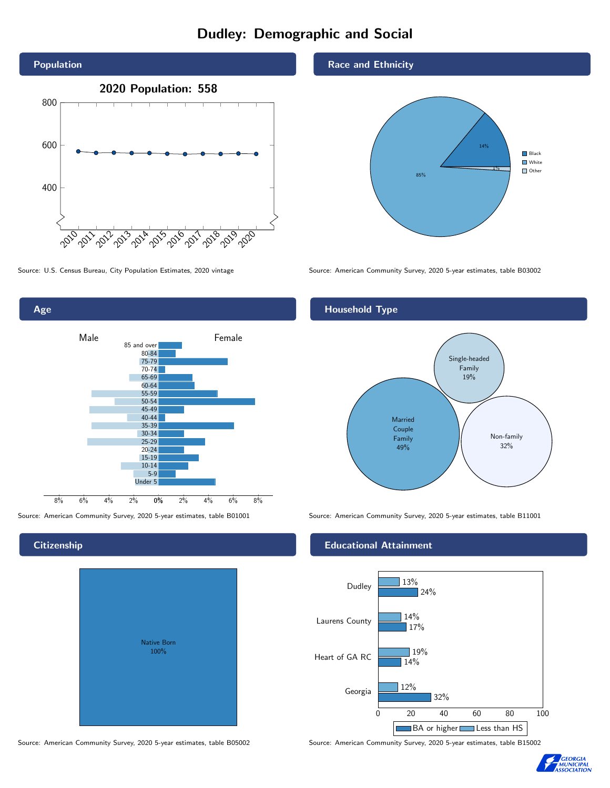# Dudley: Demographic and Social





Source: American Community Survey, 2020 5-year estimates, table B01001 Source: American Community Survey, 2020 5-year estimates, table B11001

## **Citizenship**

| <b>Native Born</b><br>100% |  |
|----------------------------|--|

Source: American Community Survey, 2020 5-year estimates, table B05002 Source: American Community Survey, 2020 5-year estimates, table B15002

Race and Ethnicity



Source: U.S. Census Bureau, City Population Estimates, 2020 vintage Source: American Community Survey, 2020 5-year estimates, table B03002

## Household Type



#### Educational Attainment



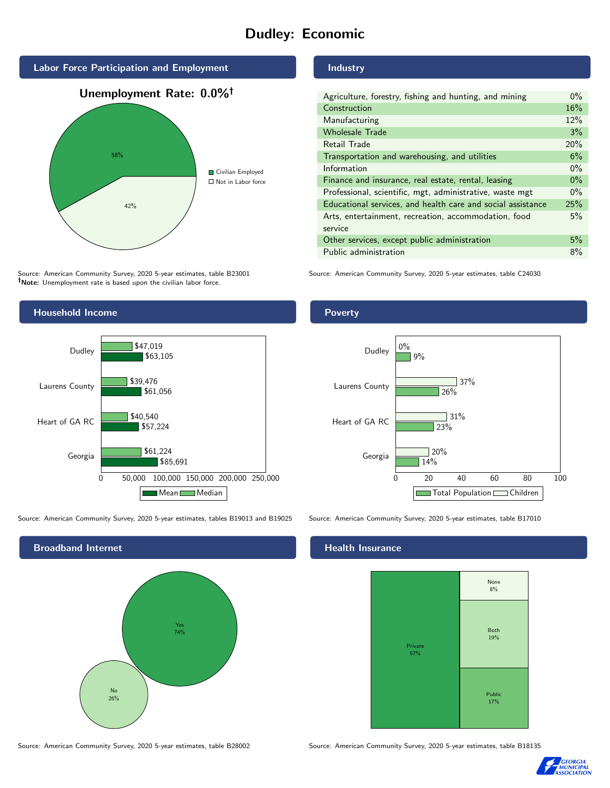# Dudley: Economic



Source: American Community Survey, 2020 5-year estimates, table B23001 Note: Unemployment rate is based upon the civilian labor force.

### Industry

| Agriculture, forestry, fishing and hunting, and mining      | $0\%$ |
|-------------------------------------------------------------|-------|
| Construction                                                |       |
| Manufacturing                                               | 12%   |
| <b>Wholesale Trade</b>                                      | 3%    |
| Retail Trade                                                | 20%   |
| Transportation and warehousing, and utilities               |       |
| Information                                                 |       |
| Finance and insurance, real estate, rental, leasing         |       |
| Professional, scientific, mgt, administrative, waste mgt    |       |
| Educational services, and health care and social assistance |       |
| Arts, entertainment, recreation, accommodation, food        |       |
| service                                                     |       |
| Other services, except public administration                |       |
| Public administration                                       |       |

Source: American Community Survey, 2020 5-year estimates, table C24030



Source: American Community Survey, 2020 5-year estimates, tables B19013 and B19025 Source: American Community Survey, 2020 5-year estimates, table B17010

Broadband Internet No 26% Yes 74%

#### Health Insurance



Source: American Community Survey, 2020 5-year estimates, table B28002 Source: American Community Survey, 2020 5-year estimates, table B18135